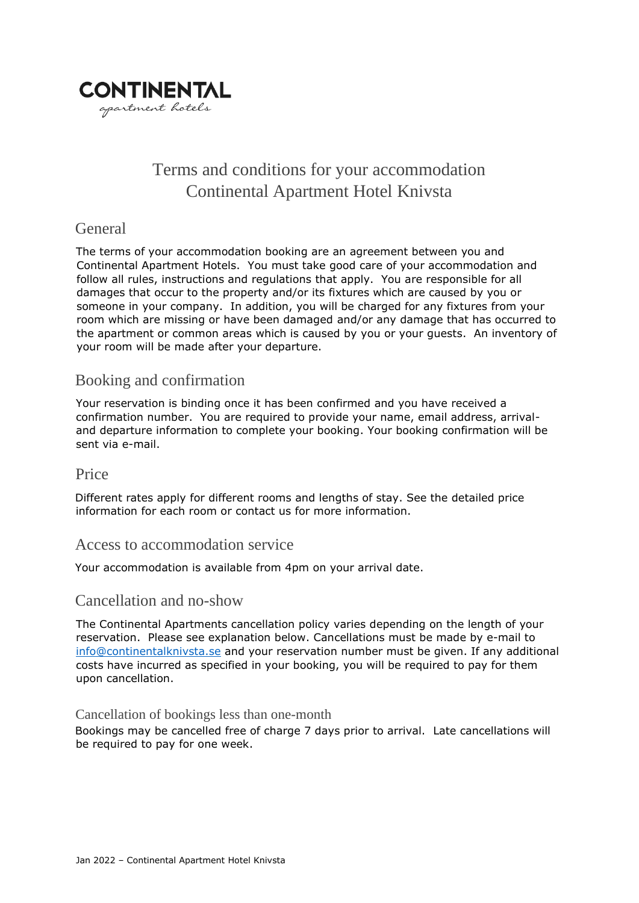

# Terms and conditions for your accommodation Continental Apartment Hotel Knivsta

## **General**

The terms of your accommodation booking are an agreement between you and Continental Apartment Hotels. You must take good care of your accommodation and follow all rules, instructions and regulations that apply. You are responsible for all damages that occur to the property and/or its fixtures which are caused by you or someone in your company. In addition, you will be charged for any fixtures from your room which are missing or have been damaged and/or any damage that has occurred to the apartment or common areas which is caused by you or your guests. An inventory of your room will be made after your departure.

## Booking and confirmation

Your reservation is binding once it has been confirmed and you have received a confirmation number. You are required to provide your name, email address, arrivaland departure information to complete your booking. Your booking confirmation will be sent via e-mail.

#### Price

Different rates apply for different rooms and lengths of stay. See the detailed price information for each room or contact us for more information.

#### Access to accommodation service

Your accommodation is available from 4pm on your arrival date.

#### Cancellation and no-show

The Continental Apartments cancellation policy varies depending on the length of your reservation. Please see explanation below. Cancellations must be made by e-mail to [info@continentalknivsta.se](mailto:info@continentalknivsta.se) and your reservation number must be given. If any additional costs have incurred as specified in your booking, you will be required to pay for them upon cancellation.

#### Cancellation of bookings less than one-month

Bookings may be cancelled free of charge 7 days prior to arrival. Late cancellations will be required to pay for one week.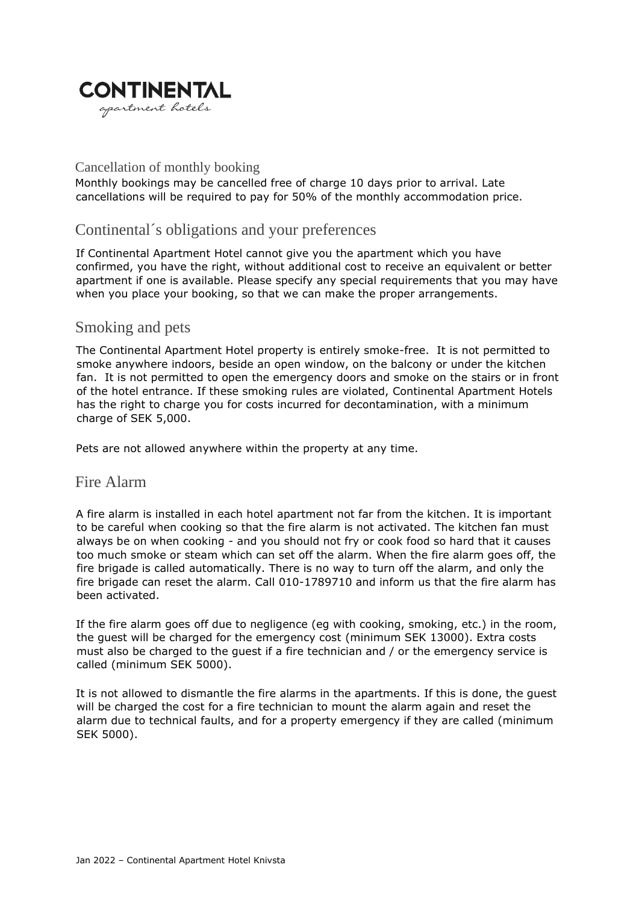

#### Cancellation of monthly booking

Monthly bookings may be cancelled free of charge 10 days prior to arrival. Late cancellations will be required to pay for 50% of the monthly accommodation price.

## Continental´s obligations and your preferences

If Continental Apartment Hotel cannot give you the apartment which you have confirmed, you have the right, without additional cost to receive an equivalent or better apartment if one is available. Please specify any special requirements that you may have when you place your booking, so that we can make the proper arrangements.

#### Smoking and pets

The Continental Apartment Hotel property is entirely smoke-free. It is not permitted to smoke anywhere indoors, beside an open window, on the balcony or under the kitchen fan. It is not permitted to open the emergency doors and smoke on the stairs or in front of the hotel entrance. If these smoking rules are violated, Continental Apartment Hotels has the right to charge you for costs incurred for decontamination, with a minimum charge of SEK 5,000.

Pets are not allowed anywhere within the property at any time.

#### Fire Alarm

A fire alarm is installed in each hotel apartment not far from the kitchen. It is important to be careful when cooking so that the fire alarm is not activated. The kitchen fan must always be on when cooking - and you should not fry or cook food so hard that it causes too much smoke or steam which can set off the alarm. When the fire alarm goes off, the fire brigade is called automatically. There is no way to turn off the alarm, and only the fire brigade can reset the alarm. Call 010-1789710 and inform us that the fire alarm has been activated.

If the fire alarm goes off due to negligence (eg with cooking, smoking, etc.) in the room, the guest will be charged for the emergency cost (minimum SEK 13000). Extra costs must also be charged to the guest if a fire technician and / or the emergency service is called (minimum SEK 5000).

It is not allowed to dismantle the fire alarms in the apartments. If this is done, the guest will be charged the cost for a fire technician to mount the alarm again and reset the alarm due to technical faults, and for a property emergency if they are called (minimum SEK 5000).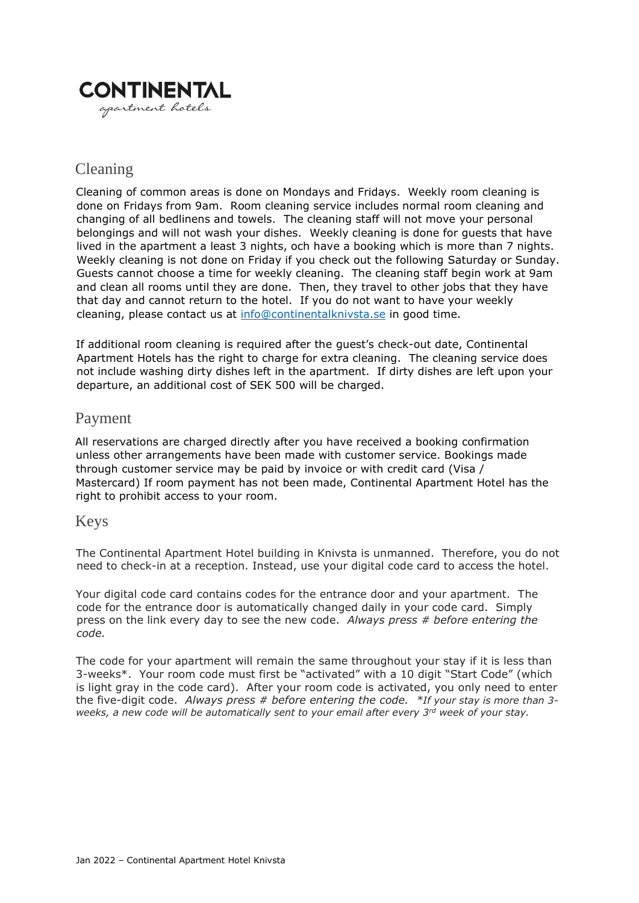

## Cleaning

Cleaning of common areas is done on Mondays and Fridays. Weekly room cleaning is done on Fridays from 9am. Room cleaning service includes normal room cleaning and changing of all bedlinens and towels. The cleaning staff will not move your personal belongings and will not wash your dishes. Weekly cleaning is done for guests that have lived in the apartment a least 3 nights, och have a booking which is more than 7 nights. Weekly cleaning is not done on Friday if you check out the following Saturday or Sunday. Guests cannot choose a time for weekly cleaning. The cleaning staff begin work at 9am and clean all rooms until they are done. Then, they travel to other jobs that they have that day and cannot return to the hotel. If you do not want to have your weekly cleaning, please contact us at [info@continentalknivsta.se](mailto:info@continentalknivsta.se) in good time.

If additional room cleaning is required after the guest's check-out date, Continental Apartment Hotels has the right to charge for extra cleaning. The cleaning service does not include washing dirty dishes left in the apartment. If dirty dishes are left upon your departure, an additional cost of SEK 500 will be charged.

### Payment

All reservations are charged directly after you have received a booking confirmation unless other arrangements have been made with customer service. Bookings made through customer service may be paid by invoice or with credit card (Visa / Mastercard) If room payment has not been made, Continental Apartment Hotel has the right to prohibit access to your room.

#### Keys

The Continental Apartment Hotel building in Knivsta is unmanned. Therefore, you do not need to check-in at a reception. Instead, use your digital code card to access the hotel.

Your digital code card contains codes for the entrance door and your apartment. The code for the entrance door is automatically changed daily in your code card. Simply press on the link every day to see the new code. *Always press # before entering the code.*

The code for your apartment will remain the same throughout your stay if it is less than 3-weeks\*. Your room code must first be "activated" with a 10 digit "Start Code" (which is light gray in the code card). After your room code is activated, you only need to enter the five-digit code. *Always press # before entering the code. \*If your stay is more than 3 weeks, a new code will be automatically sent to your email after every 3rd week of your stay.*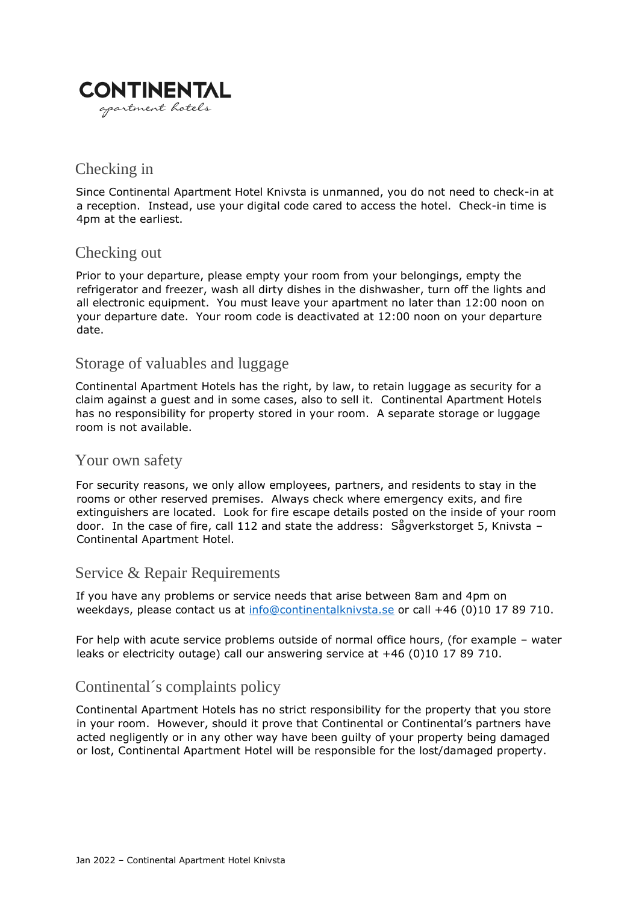

## Checking in

Since Continental Apartment Hotel Knivsta is unmanned, you do not need to check-in at a reception. Instead, use your digital code cared to access the hotel. Check-in time is 4pm at the earliest.

## Checking out

Prior to your departure, please empty your room from your belongings, empty the refrigerator and freezer, wash all dirty dishes in the dishwasher, turn off the lights and all electronic equipment. You must leave your apartment no later than 12:00 noon on your departure date. Your room code is deactivated at 12:00 noon on your departure date.

### Storage of valuables and luggage

Continental Apartment Hotels has the right, by law, to retain luggage as security for a claim against a guest and in some cases, also to sell it. Continental Apartment Hotels has no responsibility for property stored in your room. A separate storage or luggage room is not available.

#### Your own safety

For security reasons, we only allow employees, partners, and residents to stay in the rooms or other reserved premises. Always check where emergency exits, and fire extinguishers are located. Look for fire escape details posted on the inside of your room door. In the case of fire, call 112 and state the address: Sågverkstorget 5, Knivsta – Continental Apartment Hotel.

## Service & Repair Requirements

If you have any problems or service needs that arise between 8am and 4pm on weekdays, please contact us at [info@continentalknivsta.se](mailto:info@continentalknivsta.se) or call +46 (0)10 17 89 710.

For help with acute service problems outside of normal office hours, (for example – water leaks or electricity outage) call our answering service at +46 (0)10 17 89 710.

## Continental´s complaints policy

Continental Apartment Hotels has no strict responsibility for the property that you store in your room. However, should it prove that Continental or Continental's partners have acted negligently or in any other way have been guilty of your property being damaged or lost, Continental Apartment Hotel will be responsible for the lost/damaged property.